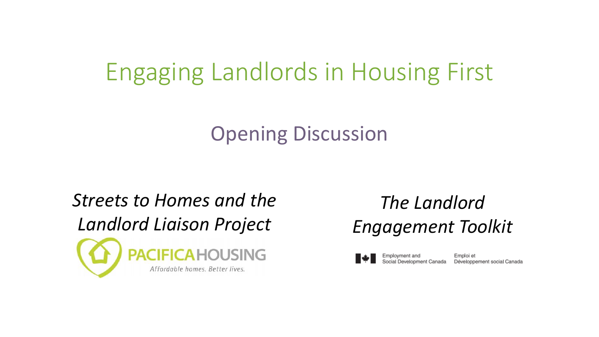#### Engaging Landlords in Housing First

#### Opening Discussion



#### *The Landlord Engagement Toolkit*



Emploi et Développement social Canada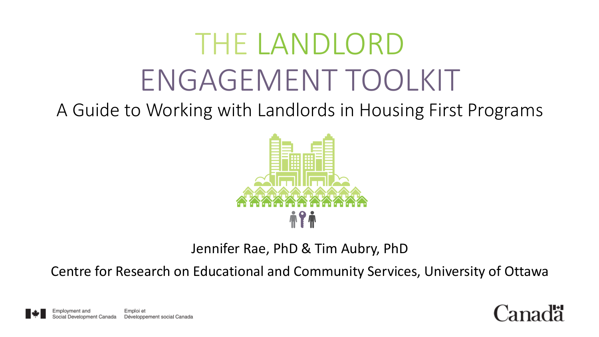# THE LANDLORD ENGAGEMENT TOOLKIT

A Guide to Working with Landlords in Housing First Programs



Jennifer Rae, PhD & Tim Aubry, PhD

Centre for Research on Educational and Community Services, University of Ottawa



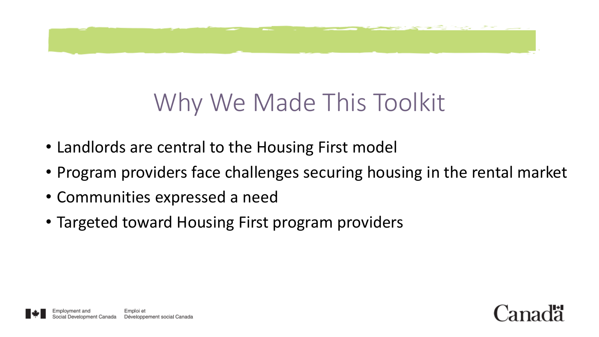

# Why We Made This Toolkit

- Landlords are central to the Housing First model
- Program providers face challenges securing housing in the rental market
- Communities expressed a need
- Targeted toward Housing First program providers

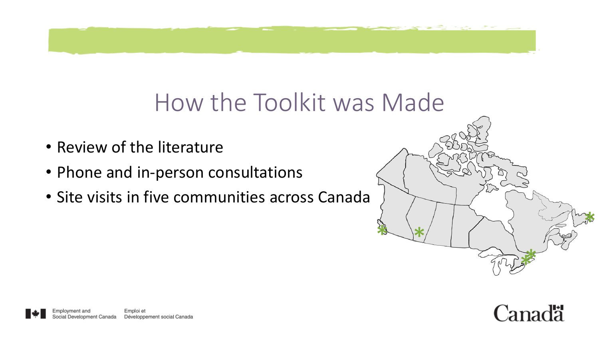#### How the Toolkit was Made

- Review of the literature
- Phone and in-person consultations
- Site visits in five communities across Canada



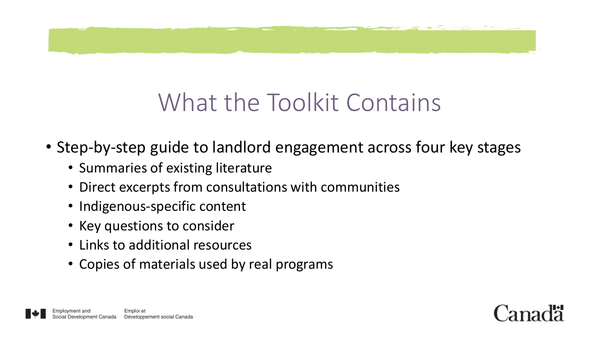

# What the Toolkit Contains

- Step-by-step guide to landlord engagement across four key stages
	- Summaries of existing literature
	- Direct excerpts from consultations with communities
	- Indigenous-specific content
	- Key questions to consider
	- Links to additional resources
	- Copies of materials used by real programs



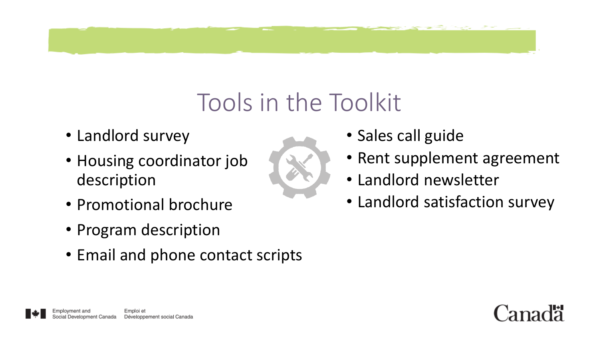# Tools in the Toolkit

- Landlord survey
- Housing coordinator job description
- Promotional brochure
- Program description
- Email and phone contact scripts
- Sales call guide
- Rent supplement agreement
- Landlord newsletter
- Landlord satisfaction survey

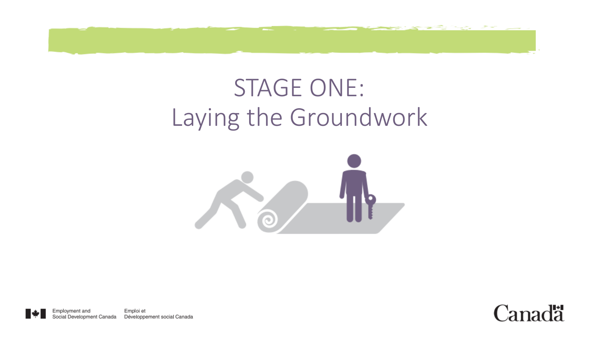

# STAGE ONE: Laying the Groundwork



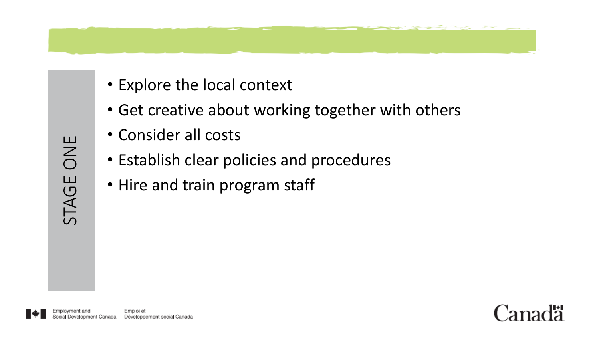- Explore the local context
- Get creative about working together with others
- Consider all costs
- Establish clear policies and procedures
- Hire and train program staff

STAGE ONE

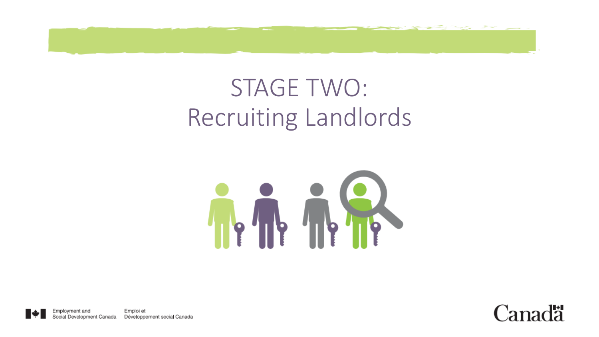

# STAGE TWO: Recruiting Landlords



Emploi et Employment and Social Development Canada Développement social Canada

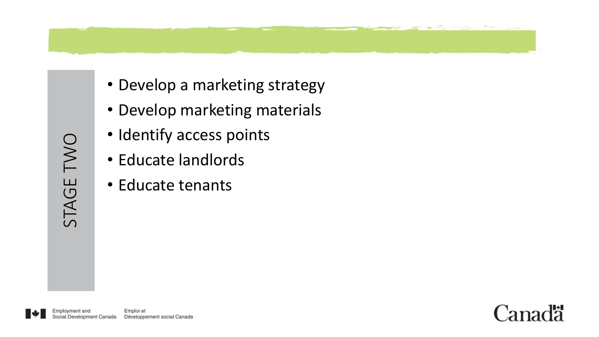

- Develop marketing materials
- Identify access points
- Educate landlords
- Educate tenants



STAGE TWO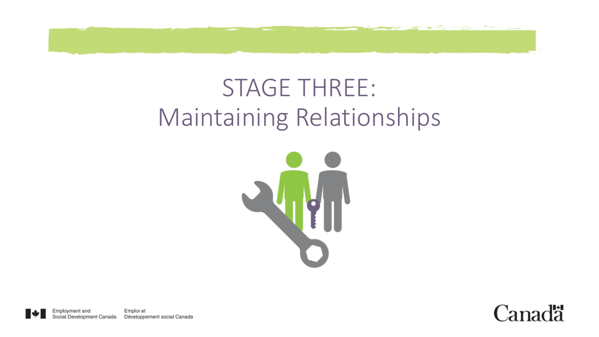

#### STAGE THREE: Maintaining Relationships



Employment and Emploi et Social Development Canada Développement social Canada

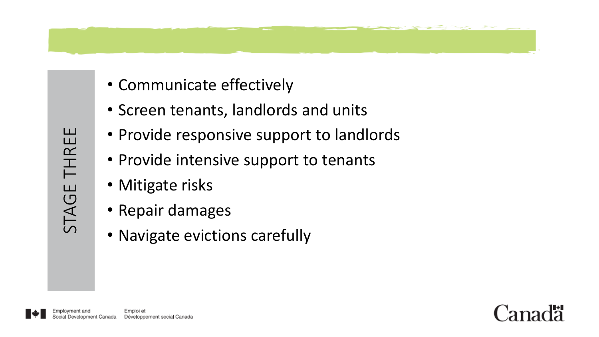

- Screen tenants, landlords and units
- Provide responsive support to landlords
- Provide intensive support to tenants
- Mitigate risks
- Repair damages
- Navigate evictions carefully



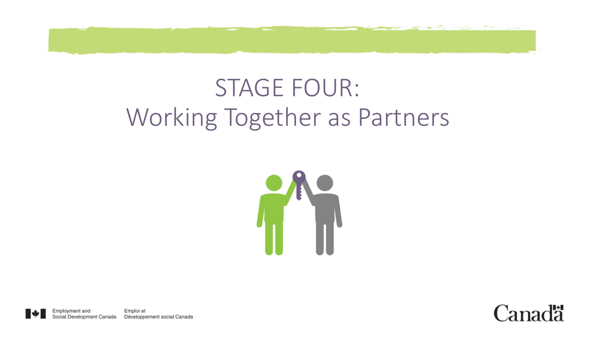#### STAGE FOUR: Working Together as Partners



Emploi et Employment and Social Development Canada Développement social Canada

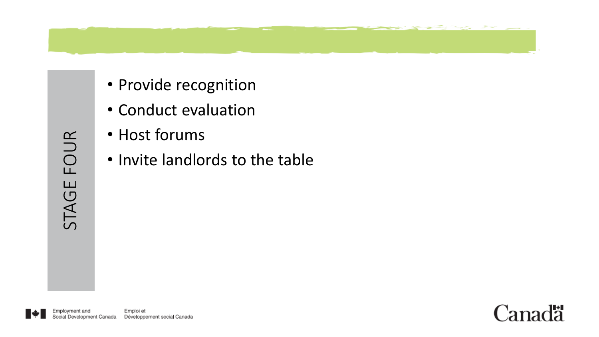

- Provide recognition
- Conduct evaluation
- Host forums
- Invite landlords to the table

STAGE FOUR



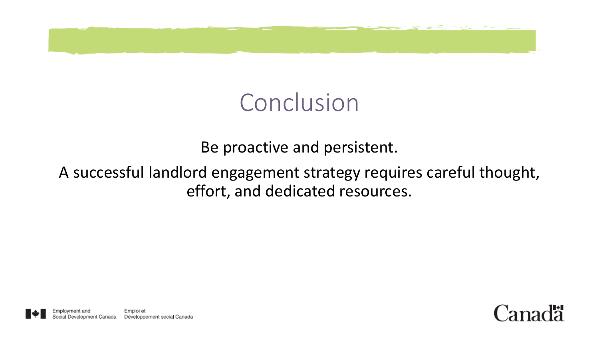

#### Conclusion

Be proactive and persistent.

#### A successful landlord engagement strategy requires careful thought, effort, and dedicated resources.



Employment and Emploi et Development Canada Développement social Canada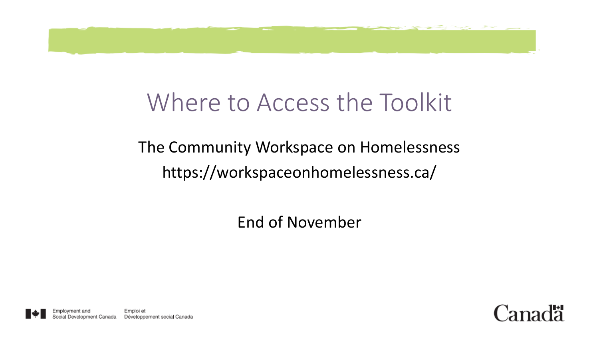

#### Where to Access the Toolkit

#### The Community Workspace on Homelessness https://workspaceonhomelessness.ca/

End of November

Employment and Emploi et Development Canada Développement social Canada

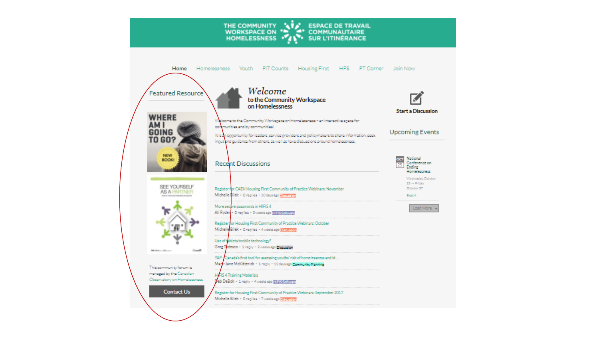